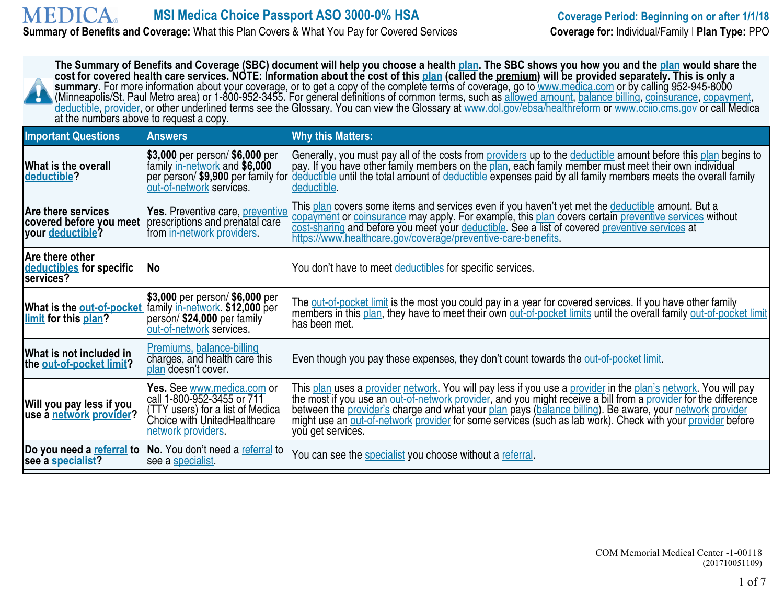#### **MEDICA MSI Medica Choice Passport ASO 3000-0% HSA Coverage Period: Beginning on or after 1/1/18 Summary of Benefits and Coverage:** What this Plan Covers & What You Pay for Covered Services **Coverage for:** Individual/Family | **Plan Type:** PPO

| The Summary of Benefits and Coverage (SBC) document will help you choose a health plan. The SBC shows you how you and the plan would share the<br>cost for covered health care services. NOTE: Information about the cost of this plan (called the premium) will be provided separately. This is only a<br>summary. For more information about your coverage, or to get a copy of the complete terms of coverage, go to www.medica.com or by calling 952-945-8000<br>(Minneapolis/St. Paul Metro area) or 1-800-952-3455. For general definitions of common terms, such as allowed amount, balance billing, coinsurance, copayment,<br>deductible, provider, or other underlined terms see the Glossary. You can view the Glossary at www.dol.gov/ebsa/healthreform or www.ccijo.cms.gov or call Medica<br>at the numbers above to request a copy. |                                                                                                                                                    |                                                                                                                                                                                                                                                                                                                                                                                                                                                                                  |  |  |
|----------------------------------------------------------------------------------------------------------------------------------------------------------------------------------------------------------------------------------------------------------------------------------------------------------------------------------------------------------------------------------------------------------------------------------------------------------------------------------------------------------------------------------------------------------------------------------------------------------------------------------------------------------------------------------------------------------------------------------------------------------------------------------------------------------------------------------------------------|----------------------------------------------------------------------------------------------------------------------------------------------------|----------------------------------------------------------------------------------------------------------------------------------------------------------------------------------------------------------------------------------------------------------------------------------------------------------------------------------------------------------------------------------------------------------------------------------------------------------------------------------|--|--|
| <b>Important Questions</b>                                                                                                                                                                                                                                                                                                                                                                                                                                                                                                                                                                                                                                                                                                                                                                                                                         | <b>Answers</b>                                                                                                                                     | <b>Why this Matters:</b>                                                                                                                                                                                                                                                                                                                                                                                                                                                         |  |  |
| <b>What is the overall</b><br>deductible?                                                                                                                                                                                                                                                                                                                                                                                                                                                                                                                                                                                                                                                                                                                                                                                                          | \$3,000 per person/ \$6,000 per<br>family in-network and \$6,000<br>per person/ \$9,900 per family for<br>out-of-network services.                 | Generally, you must pay all of the costs from providers up to the deductible amount before this plan begins to<br>pay. If you have other family members on the plan, each family member must meet their own individual<br>deductible until the total amount of deductible expenses paid by all family members meets the overall family<br>deductible.                                                                                                                            |  |  |
| <b>Are there services</b><br>covered before you meet<br>vour deductible?                                                                                                                                                                                                                                                                                                                                                                                                                                                                                                                                                                                                                                                                                                                                                                           | Yes. Preventive care, preventive<br>prescriptions and prenatal care<br>from in-network providers.                                                  | This plan covers some items and services even if you haven't yet met the deductible amount. But a<br>copayment or coinsurance may apply. For example, this plan covers certain preventive services without<br>cost-sharing and before you meet your deductible. See a list of covered preventive services at<br>https://www.healthcare.gov/coverage/preventive-care-benefits.                                                                                                    |  |  |
| Are there other<br>deductibles for specific<br>services?                                                                                                                                                                                                                                                                                                                                                                                                                                                                                                                                                                                                                                                                                                                                                                                           | No                                                                                                                                                 | You don't have to meet deductibles for specific services.                                                                                                                                                                                                                                                                                                                                                                                                                        |  |  |
| What is the out-of-pocket<br>limit for this plan?                                                                                                                                                                                                                                                                                                                                                                                                                                                                                                                                                                                                                                                                                                                                                                                                  | \$3,000 per person/ \$6,000 per<br>family in-network. \$12,000 per<br>person/\$24,000 per family<br>out-of-network services.                       | The out-of-pocket limit is the most you could pay in a year for covered services. If you have other family<br>members in this plan, they have to meet their own out-of-pocket limits until the overall family out-of-pocket limit<br>has been met.                                                                                                                                                                                                                               |  |  |
| What is not included in<br>the out-of-pocket limit?                                                                                                                                                                                                                                                                                                                                                                                                                                                                                                                                                                                                                                                                                                                                                                                                | Premiums, balance-billing<br>charges, and health care this<br>plan doesn't cover.                                                                  | Even though you pay these expenses, they don't count towards the <u>out-of-pocket limit</u> .                                                                                                                                                                                                                                                                                                                                                                                    |  |  |
| Will you pay less if you<br>use a network provider?                                                                                                                                                                                                                                                                                                                                                                                                                                                                                                                                                                                                                                                                                                                                                                                                | Yes. See www.medica.com or<br>call 1-800-952-3455 or 711<br>(TTY users) for a list of Medica<br>Choice with UnitedHealthcare<br>network providers. | This plan uses a provider network. You will pay less if you use a provider in the plan's network. You will pay<br>the most if you use an out-of-network provider, and you might receive a bill from a provider for the difference<br>between the provider's charge and what your plan pays (balance billing). Be aware, your network provider<br>might use an out-of-network provider for some services (such as lab work). Check with your provider before<br>you get services. |  |  |
| Do you need a referral to<br>see a specialist?                                                                                                                                                                                                                                                                                                                                                                                                                                                                                                                                                                                                                                                                                                                                                                                                     | No. You don't need a referral to<br>see a specialist.                                                                                              | You can see the specialist you choose without a referral.                                                                                                                                                                                                                                                                                                                                                                                                                        |  |  |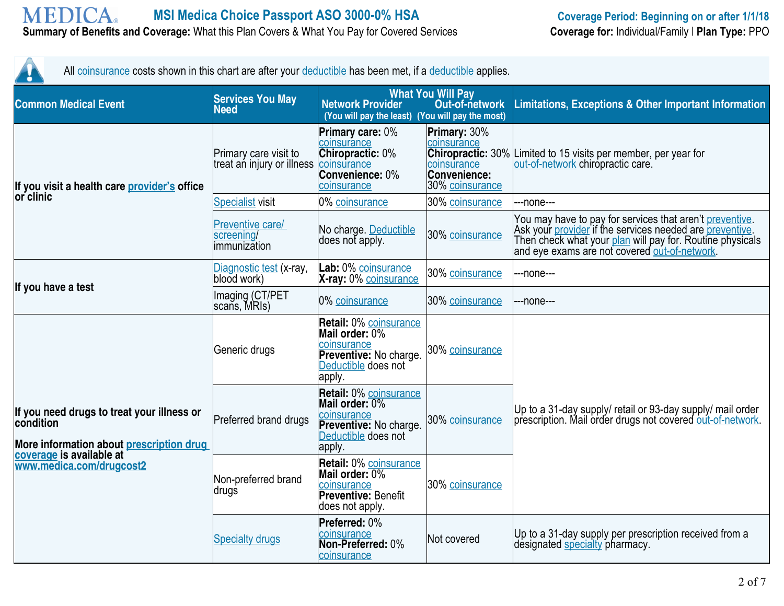#### **MEDICA MSI Medica Choice Passport ASO 3000-0% HSA Coverage Period: Beginning on or after 1/1/18 Summary of Benefits and Coverage:** What this Plan Covers & What You Pay for Covered Services **Coverage for:** Individual/Family | **Plan Type:** PPO

All coinsurance costs shown in this chart are after your deductible has been met, if a deductible applies.

| <b>Common Medical Event</b>                                                                                                                                 | <b>Services You May</b><br><b>Need</b>                          | <b>Network Provider</b><br>(You will pay the least) (You will pay the most)                                               | <b>What You Will Pay</b><br>Out-of-network                                                                | <b>Limitations, Exceptions &amp; Other Important Information</b>                                                                                                                                                                   |
|-------------------------------------------------------------------------------------------------------------------------------------------------------------|-----------------------------------------------------------------|---------------------------------------------------------------------------------------------------------------------------|-----------------------------------------------------------------------------------------------------------|------------------------------------------------------------------------------------------------------------------------------------------------------------------------------------------------------------------------------------|
| If you visit a health care provider's office                                                                                                                | Primary care visit to<br>treat an injury or illness coinsurance | <b>Primary care: 0%</b><br>coinsurance<br>Chiropractic: 0%<br>Convenience: 0%<br>coinsurance                              | Primary: 30%<br>coinsurance<br><b>Chiropractic: 30%</b><br>coinsurance<br>Convenience:<br>30% coinsurance | Limited to 15 visits per member, per year for<br>out-of-network chiropractic care.                                                                                                                                                 |
| lor clinic                                                                                                                                                  | <b>Specialist visit</b>                                         | 0% coinsurance                                                                                                            | 30% coinsurance                                                                                           | --none---                                                                                                                                                                                                                          |
|                                                                                                                                                             | Preventive care/<br>screening/<br>immunization                  | No charge. Deductible<br>does not apply.                                                                                  | 30% coinsurance                                                                                           | You may have to pay for services that aren't preventive.<br>Ask your provider if the services needed are preventive.<br>Then check what your plan will pay for. Routine physicals<br>and eye exams are not covered out-of-network. |
|                                                                                                                                                             | Diagnostic test (x-ray,<br>blood work)                          | Lab: 0% coinsurance<br>X-ray: 0% coinsurance                                                                              | 30% coinsurance                                                                                           | ---none---                                                                                                                                                                                                                         |
| If you have a test                                                                                                                                          | Imaging (CT/PET<br>scans, MRIs)                                 | 0% coinsurance                                                                                                            | 30% coinsurance                                                                                           | --none---                                                                                                                                                                                                                          |
| If you need drugs to treat your illness or<br>condition<br>More information about prescription drug<br>coverage is available at<br>www.medica.com/drugcost2 | Generic drugs                                                   | <b>Retail: 0% coinsurance</b><br>Mail order: 0%<br>coinsurance<br>Preventive: No charge.<br>Deductible does not<br>apply. | 30% coinsurance                                                                                           |                                                                                                                                                                                                                                    |
|                                                                                                                                                             | Preferred brand drugs                                           | Retail: 0% coinsurance<br>Mail order: 0%<br>coinsurance<br>Preventive: No charge.<br>Deductible does not<br>apply.        | 30% coinsurance                                                                                           | Up to a 31-day supply/ retail or 93-day supply/ mail order<br>prescription. Mail order drugs not covered out-of-network.                                                                                                           |
|                                                                                                                                                             | Non-preferred brand<br>∣drugs                                   | Retail: 0% coinsurance<br>Mail order: 0%<br>coinsurance<br><b>Preventive: Benefit</b><br>does not apply.                  | 30% coinsurance                                                                                           |                                                                                                                                                                                                                                    |
|                                                                                                                                                             | <b>Specialty drugs</b>                                          | Preferred: 0%<br>coinsurance<br>Non-Preferred: 0%<br>coinsurance                                                          | Not covered                                                                                               | Up to a 31-day supply per prescription received from a<br>designated specialty pharmacy.                                                                                                                                           |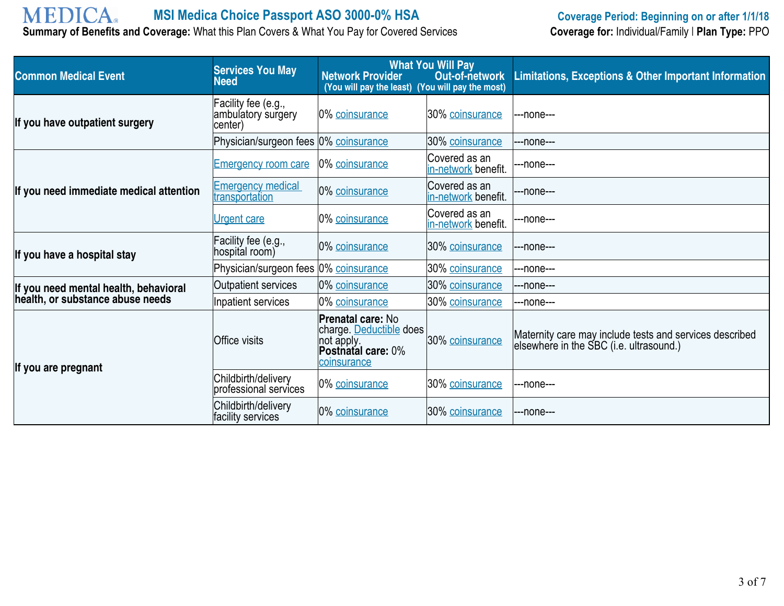# **MEDICA**

**Summary of Benefits and Coverage:** What this Plan Covers & What You Pay for Covered Services

| <b>Common Medical Event</b>                                               | <b>Services You May</b><br><b>Need</b>               | <b>Network Provider</b><br>(You will pay the least) (You will pay the most)                                   | <b>What You Will Pay</b><br>Out-of-network | <b>Limitations, Exceptions &amp; Other Important Information</b>                                   |
|---------------------------------------------------------------------------|------------------------------------------------------|---------------------------------------------------------------------------------------------------------------|--------------------------------------------|----------------------------------------------------------------------------------------------------|
| If you have outpatient surgery                                            | Facility fee (e.g.,<br>ambulatory surgery<br>center) | 0% coinsurance                                                                                                | 30% coinsurance                            | ---none---                                                                                         |
|                                                                           | Physician/surgeon fees 0% coinsurance                |                                                                                                               | 30% coinsurance                            | ---none---                                                                                         |
|                                                                           | <b>Emergency room care</b>                           | 0% coinsurance                                                                                                | Covered as an<br>in-network benefit.       | ---none---                                                                                         |
| If you need immediate medical attention                                   | <b>Emergency medical</b><br>transportation           | 0% coinsurance                                                                                                | Covered as an<br>in-network benefit.       | ---none---                                                                                         |
|                                                                           | <b>Urgent care</b>                                   | 0% coinsurance                                                                                                | Covered as an<br>in-network benefit.       | ---none---                                                                                         |
| If you have a hospital stay                                               | Facility fee (e.g.,<br>hospital room)                | 0% coinsurance                                                                                                | 30% coinsurance                            | ---none---                                                                                         |
|                                                                           | Physician/surgeon fees 0% coinsurance                |                                                                                                               | 30% coinsurance                            | ---none---                                                                                         |
| If you need mental health, behavioral<br>health, or substance abuse needs | Outpatient services                                  | 0% coinsurance                                                                                                | 30% coinsurance                            | ---none---                                                                                         |
|                                                                           | Inpatient services                                   | 0% coinsurance                                                                                                | 30% coinsurance                            | ---none---                                                                                         |
| If you are pregnant                                                       | Office visits                                        | <b>Prenatal care: No</b><br>charge. Deductible does<br>not apply.<br><b>Postnatal care: 0%</b><br>coinsurance | 30% coinsurance                            | Maternity care may include tests and services described<br>elsewhere in the SBC (i.e. ultrasound.) |
|                                                                           | Childbirth/delivery<br>professional services         | 0% coinsurance                                                                                                | 30% coinsurance                            | ---none---                                                                                         |
|                                                                           | Childbirth/delivery<br>facility services             | 0% coinsurance                                                                                                | 30% coinsurance                            | ---none---                                                                                         |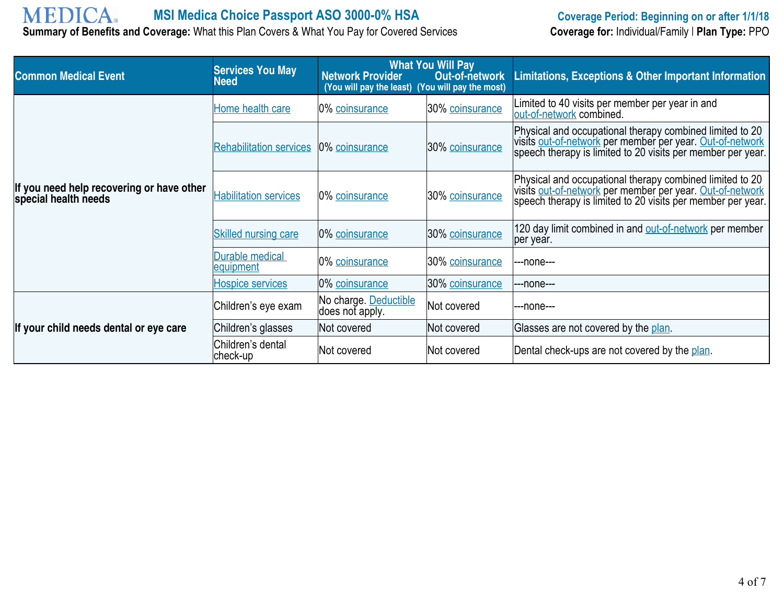# **MEDICA**

**Summary of Benefits and Coverage:** What this Plan Covers & What You Pay for Covered Services

| <b>Common Medical Event</b>                                       | <b>Services You May</b><br><b>Need</b> | <b>Network Provider</b><br>(You will pay the least) (You will pay the most) | <b>What You Will Pay</b><br>Out-of-network | Limitations, Exceptions & Other Important Information                                                                                                                                |
|-------------------------------------------------------------------|----------------------------------------|-----------------------------------------------------------------------------|--------------------------------------------|--------------------------------------------------------------------------------------------------------------------------------------------------------------------------------------|
|                                                                   | Home health care                       | 0% coinsurance                                                              | 30% coinsurance                            | Limited to 40 visits per member per year in and<br>out-of-network combined.                                                                                                          |
|                                                                   | <b>Rehabilitation services</b>         | 0% coinsurance                                                              | 30% coinsurance                            | Physical and occupational therapy combined limited to 20<br>visits out-of-network per member per year. Out-of-network<br>speech therapy is limited to 20 visits per member per year. |
| If you need help recovering or have other<br>special health needs | <b>Habilitation services</b>           | 0% coinsurance                                                              | 30% coinsurance                            | Physical and occupational therapy combined limited to 20<br>visits out-of-network per member per year. Out-of-network<br>speech therapy is limited to 20 visits per member per year. |
|                                                                   | <b>Skilled nursing care</b>            | 0% coinsurance                                                              | 30% coinsurance                            | 120 day limit combined in and out-of-network per member<br>per year.                                                                                                                 |
|                                                                   | Durable medical<br>equipment           | 0% coinsurance                                                              | 30% coinsurance                            | ---none---                                                                                                                                                                           |
|                                                                   | <b>Hospice services</b>                | 0% coinsurance                                                              | 30% coinsurance                            | ---none---                                                                                                                                                                           |
|                                                                   | Children's eye exam                    | No charge. Deductible<br>does not apply.                                    | Not covered                                | ---none---                                                                                                                                                                           |
| If your child needs dental or eye care                            | Children's glasses                     | Not covered                                                                 | Not covered                                | Glasses are not covered by the plan.                                                                                                                                                 |
|                                                                   | Children's dental<br>$ check-up$       | Not covered                                                                 | lNot covered                               | Dental check-ups are not covered by the plan.                                                                                                                                        |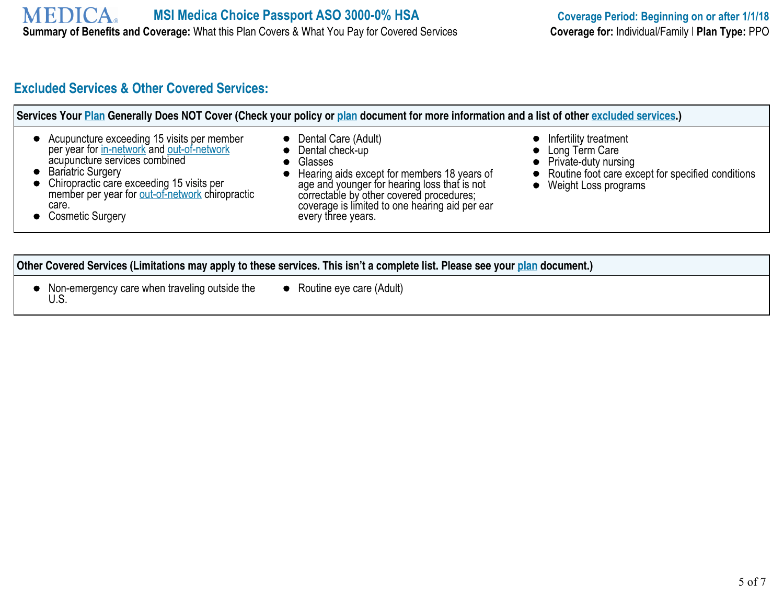## **Excluded Services & Other Covered Services:**

|  | • Acupuncture exceeding 15 visits per member<br>per year for in-network and out-of-network<br>acupuncture services combined<br>• Bariatric Surgery<br>• Chiropractic care exceeding 15 visits per<br>member per year for out-of-network chiropractic<br>care.<br>• Cosmetic Surgery | Services Your Plan Generally Does NOT Cover (Check your policy or plan document for more information and a list of other excluded services.)<br>Dental Care (Adult)<br>Dental check-up<br>Glasses<br>Hearing aids except for members 18 years of<br>age and younger for hearing loss that is not<br>correctable by other covered procedures;<br>coverage is limited to one hearing aid per ear<br>every three years. | Infertility treatment<br>• Long Term Care<br>• Private-duty nursing<br>• Routine foot care except for specified conditions<br>Weight Loss programs |
|--|-------------------------------------------------------------------------------------------------------------------------------------------------------------------------------------------------------------------------------------------------------------------------------------|----------------------------------------------------------------------------------------------------------------------------------------------------------------------------------------------------------------------------------------------------------------------------------------------------------------------------------------------------------------------------------------------------------------------|----------------------------------------------------------------------------------------------------------------------------------------------------|
|--|-------------------------------------------------------------------------------------------------------------------------------------------------------------------------------------------------------------------------------------------------------------------------------------|----------------------------------------------------------------------------------------------------------------------------------------------------------------------------------------------------------------------------------------------------------------------------------------------------------------------------------------------------------------------------------------------------------------------|----------------------------------------------------------------------------------------------------------------------------------------------------|

#### **Other Covered Services (Limitations may apply to these services. This isn't a complete list. Please see your plan document.)**

- Non-emergency care when traveling outside the U.S.
- Routine eye care (Adult)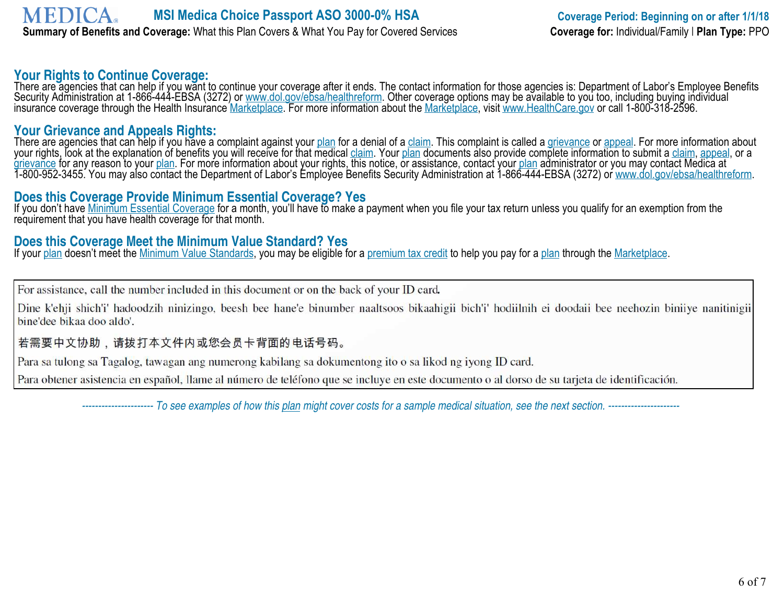#### **Your Rights to Continue Coverage:**

There are agencies that can help if you want to continue your coverage after it ends. The contact information for those agencies is: Department of Labor's Employee Benefits Security Administration at 1-866-444-EBSA (3272) or www.dol.gov/ebsa/healthreform. Other coverage options may be available to you too, including buying individual insurance coverage through the Health Insurance <u>Marketplace</u>. For more information about the <u>Marketplace,</u> visit www.HealthCare.gov or call 1-800-318-2596.

#### **Your Grievance and Appeals Rights:**

There are agencies that can help if you have a complaint against your <u>plan</u> for a denial of a claim. This complaint is called a <u>grievance</u> or appeal. For more information about your rights, look at the explanation of benefits you will receive for that medical <u>claim</u>. Your <u>plan</u> documents also provide complete information to submit a <u>claim, appeal,</u> or a grievance for any reason to your <u>plan</u>. For more information about your rights, this notice, or assistance, contact your <u>plan</u> administrator or you may contact Medica at 1-800-952-3455. You may also contact the Department of Labor's Employee Benefits Security Administration at 1-866-444-EBSA (3272) or <u>www.dol.gov/ebsa/healthreform</u>.

#### **Does this Coverage Provide Minimum Essential Coverage? Yes**

If you don't have Minimum Essential Coverage for a month, you'll have to make a payment when you file your tax return unless you qualify for an exemption from the requirement that you have health coverage for that month.

## **Does this Coverage Meet the Minimum Value Standard? Yes**

If your plan doesn't meet the Minimum Value Standards, you may be eligible for a premium tax credit to help you pay for a plan through the Marketplace.

For assistance, call the number included in this document or on the back of your ID card.

Dine k'ehji shich'i' hadoodzih ninizingo, beesh bee hane'e binumber naaltsoos bikaahigii bich'i' hodiilnih ei doodaii bee neehozin biniiye nanitinigii bine'dee bikaa doo aldo'.

#### 若需要中文协助,请拨打本文件内或您会员卡背面的电话号码。

Para sa tulong sa Tagalog, tawagan ang numerong kabilang sa dokumentong ito o sa likod ng iyong ID card.

Para obtener asistencia en español, llame al número de teléfono que se incluye en este documento o al dorso de su tarjeta de identificación.

 *---------------------- To see examples of how this plan might cover costs for a sample medical situation, see the next section. ----------------------*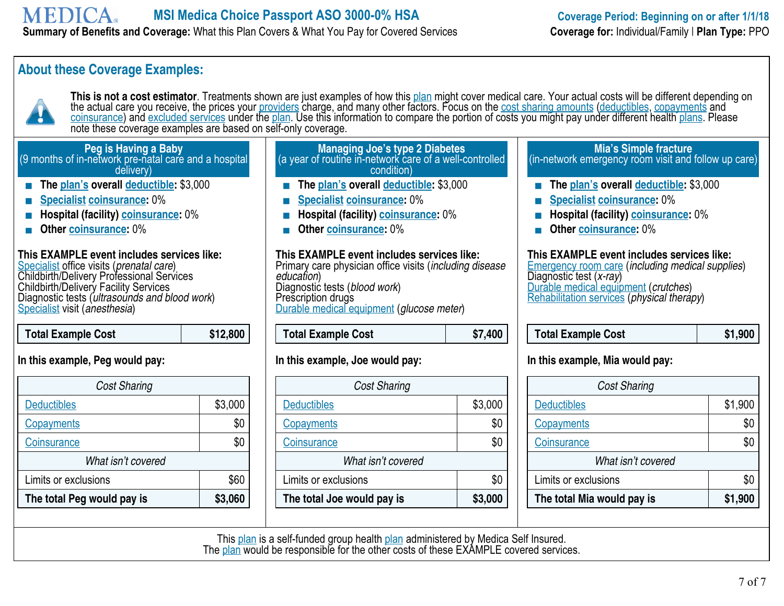## **About these Coverage Examples:**



This is not a cost estimator. Treatments shown are just examples of how this plan might cover medical care. Your actual costs will be different depending on the actual care you receive, the prices your <u>providers</u> charge, and many other factors. Focus on the <u>cost sharing amounts</u> (deductibles, copayments and <u>coinsurance</u>) and <u>excluded services</u> under the <u>plan</u>. Use this information to compare the portion of costs you might pay under different health <u>plans</u>. Please note these coverage examples are based on self-only coverage.

#### **Peg is Having a Baby** (9 months of in-network pre-natal care and a hospital delivery) **The plan's overall deductible:** \$3,000 **Managing Joe's type 2 Diabetes** (a year of routine in-network care of a well-controlled condition) **The plan's overall deductible: \$3,000** (in-network emergency room visit and follow up care) **The plan's overall deductible:** \$3,000

- **Specialist coinsurance:** 0%
- **Hospital (facility) coinsurance:** 0%
- **Other coinsurance:** 0%

#### **This EXAMPLE event includes services like:**

Specialist office visits (*prenatal care*) Childbirth/Delivery Professional Services Childbirth/Delivery Facility Services Diagnostic tests (*ultrasounds and blood work*) Specialist visit (*anesthesia*)

 **Total Example Cost \$12,800** 

#### **In this example, Peg would pay:**

| <b>Cost Sharing</b>        |         |  |
|----------------------------|---------|--|
| <b>Deductibles</b>         | \$3,000 |  |
| <b>Copayments</b>          | \$(     |  |
| Coinsurance                | \$0     |  |
| What isn't covered         |         |  |
| Limits or exclusions       | \$60    |  |
| The total Peg would pay is | \$3,060 |  |

- 
- **Specialist coinsurance:** 0%
- **Hospital (facility) coinsurance:** 0%
- **Didelet Coinsurance: 0%**

#### **This EXAMPLE event includes services like:**  Primary care physician office visits (*including disease education*) Diagnostic tests (*blood work*) Prescription drugs Durable medical equipment (*glucose meter*)

| <b>Total Example Cost</b> | \$7,400 |
|---------------------------|---------|
|                           |         |

#### **In this example, Joe would pay:**

| <b>Cost Sharing</b>        |         |  |
|----------------------------|---------|--|
| <b>Deductibles</b>         | \$3,000 |  |
| <b>Copayments</b>          | \$0     |  |
| Coinsurance                |         |  |
| What isn't covered         |         |  |
| Limits or exclusions       | \$0     |  |
| The total Joe would pay is | \$3,000 |  |

# **Mia's Simple fracture**

- 
- 
- **Specialist coinsurance:** 0%
- **Hospital (facility) coinsurance:** 0%
- **Other coinsurance:** 0%

#### **This EXAMPLE event includes services like:**

Emergency room care (*including medical supplies*) Diagnostic test (*x-ray*) Durable medical equipment (*crutches*) Rehabilitation services (*physical therapy*)

| Total Example Cost | \$1,900 |
|--------------------|---------|
|--------------------|---------|

#### **In this example, Mia would pay:**

| <b>Cost Sharing</b>        |         |  |
|----------------------------|---------|--|
| <b>Deductibles</b>         | \$1,900 |  |
| <b>Copayments</b>          | \$C     |  |
| Coinsurance                | \$0     |  |
| What isn't covered         |         |  |
| Limits or exclusions       | \$0     |  |
| The total Mia would pay is | \$1,900 |  |

This plan is a self-funded group health plan administered by Medica Self Insured. The plan would be responsible for the other costs of these EXAMPLE covered services.